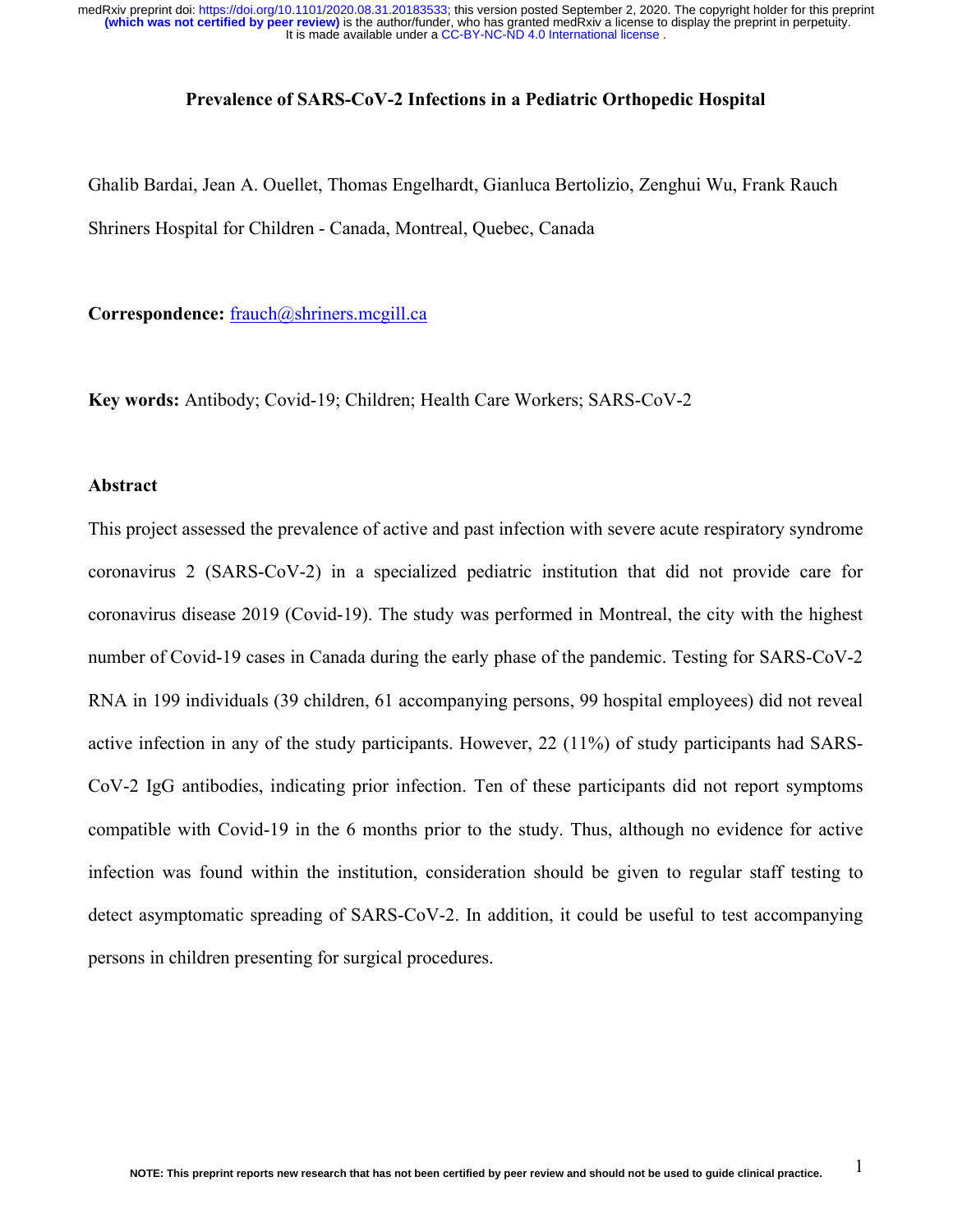#### Prevalence of SARS-CoV-2 Infections in a Pediatric Orthopedic Hospital

Ghalib Bardai, Jean A. Ouellet, Thomas Engelhardt, Gianluca Bertolizio, Zenghui Wu, Frank Rauch Shriners Hospital for Children - Canada, Montreal, Quebec, Canada

Correspondence: frauch@shriners.mcgill.ca

Key words: Antibody; Covid-19; Children; Health Care Workers; SARS-CoV-2

### Abstract

This project assessed the prevalence of active and past infection with severe acute respiratory syndrome coronavirus 2 (SARS-CoV-2) in a specialized pediatric institution that did not provide care for coronavirus disease 2019 (Covid-19). The study was performed in Montreal, the city with the highest number of Covid-19 cases in Canada during the early phase of the pandemic. Testing for SARS-CoV-2 RNA in 199 individuals (39 children, 61 accompanying persons, 99 hospital employees) did not reveal active infection in any of the study participants. However, 22 (11%) of study participants had SARS-CoV-2 IgG antibodies, indicating prior infection. Ten of these participants did not report symptoms compatible with Covid-19 in the 6 months prior to the study. Thus, although no evidence for active infection was found within the institution, consideration should be given to regular staff testing to detect asymptomatic spreading of SARS-CoV-2. In addition, it could be useful to test accompanying persons in children presenting for surgical procedures.

1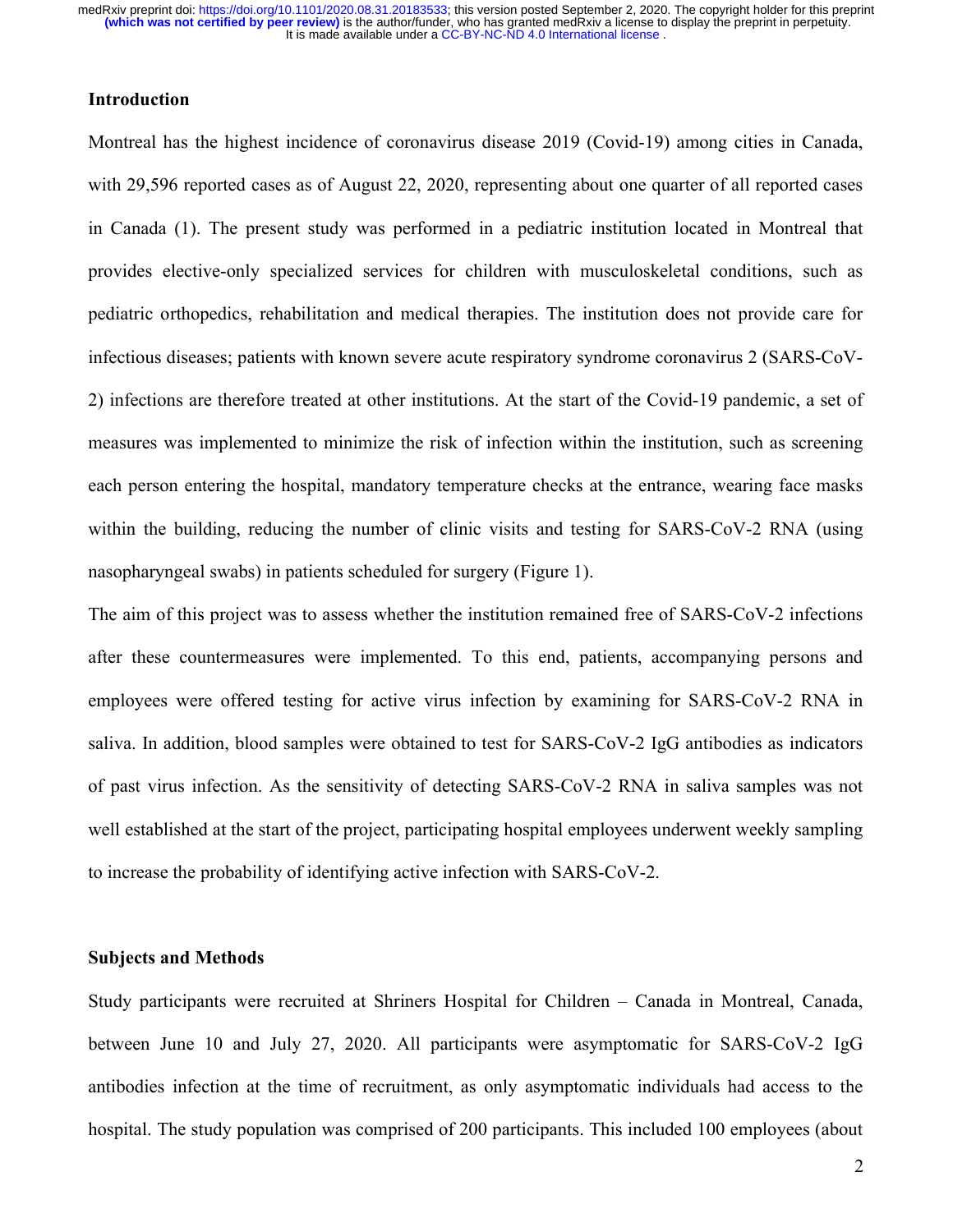## Introduction

Montreal has the highest incidence of coronavirus disease 2019 (Covid-19) among cities in Canada, with 29,596 reported cases as of August 22, 2020, representing about one quarter of all reported cases in Canada (1). The present study was performed in a pediatric institution located in Montreal that provides elective-only specialized services for children with musculoskeletal conditions, such as pediatric orthopedics, rehabilitation and medical therapies. The institution does not provide care for infectious diseases; patients with known severe acute respiratory syndrome coronavirus 2 (SARS-CoV-2) infections are therefore treated at other institutions. At the start of the Covid-19 pandemic, a set of measures was implemented to minimize the risk of infection within the institution, such as screening each person entering the hospital, mandatory temperature checks at the entrance, wearing face masks within the building, reducing the number of clinic visits and testing for SARS-CoV-2 RNA (using nasopharyngeal swabs) in patients scheduled for surgery (Figure 1).

The aim of this project was to assess whether the institution remained free of SARS-CoV-2 infections after these countermeasures were implemented. To this end, patients, accompanying persons and employees were offered testing for active virus infection by examining for SARS-CoV-2 RNA in saliva. In addition, blood samples were obtained to test for SARS-CoV-2 IgG antibodies as indicators of past virus infection. As the sensitivity of detecting SARS-CoV-2 RNA in saliva samples was not well established at the start of the project, participating hospital employees underwent weekly sampling to increase the probability of identifying active infection with SARS-CoV-2.

## Subjects and Methods

Study participants were recruited at Shriners Hospital for Children – Canada in Montreal, Canada, between June 10 and July 27, 2020. All participants were asymptomatic for SARS-CoV-2 IgG antibodies infection at the time of recruitment, as only asymptomatic individuals had access to the hospital. The study population was comprised of 200 participants. This included 100 employees (about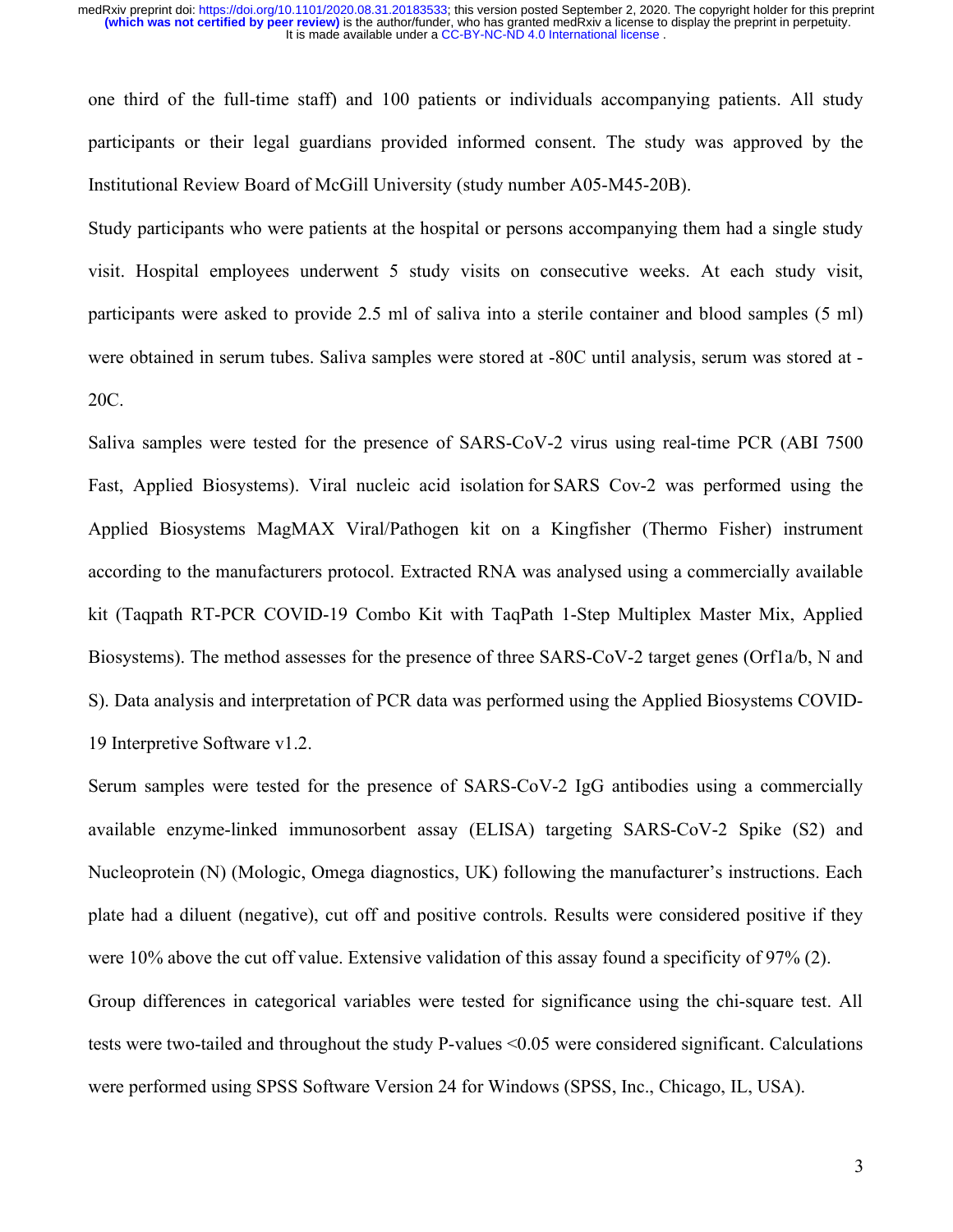one third of the full-time staff) and 100 patients or individuals accompanying patients. All study participants or their legal guardians provided informed consent. The study was approved by the Institutional Review Board of McGill University (study number A05-M45-20B).

Study participants who were patients at the hospital or persons accompanying them had a single study visit. Hospital employees underwent 5 study visits on consecutive weeks. At each study visit, participants were asked to provide 2.5 ml of saliva into a sterile container and blood samples (5 ml) were obtained in serum tubes. Saliva samples were stored at -80C until analysis, serum was stored at - 20C.

Saliva samples were tested for the presence of SARS-CoV-2 virus using real-time PCR (ABI 7500 Fast, Applied Biosystems). Viral nucleic acid isolation for SARS Cov-2 was performed using the Applied Biosystems MagMAX Viral/Pathogen kit on a Kingfisher (Thermo Fisher) instrument according to the manufacturers protocol. Extracted RNA was analysed using a commercially available kit (Taqpath RT-PCR COVID-19 Combo Kit with TaqPath 1-Step Multiplex Master Mix, Applied Biosystems). The method assesses for the presence of three SARS-CoV-2 target genes (Orf1a/b, N and S). Data analysis and interpretation of PCR data was performed using the Applied Biosystems COVID-19 Interpretive Software v1.2.

Serum samples were tested for the presence of SARS-CoV-2 IgG antibodies using a commercially available enzyme-linked immunosorbent assay (ELISA) targeting SARS-CoV-2 Spike (S2) and Nucleoprotein (N) (Mologic, Omega diagnostics, UK) following the manufacturer's instructions. Each plate had a diluent (negative), cut off and positive controls. Results were considered positive if they were 10% above the cut off value. Extensive validation of this assay found a specificity of 97% (2). Group differences in categorical variables were tested for significance using the chi-square test. All tests were two-tailed and throughout the study P-values <0.05 were considered significant. Calculations were performed using SPSS Software Version 24 for Windows (SPSS, Inc., Chicago, IL, USA).

3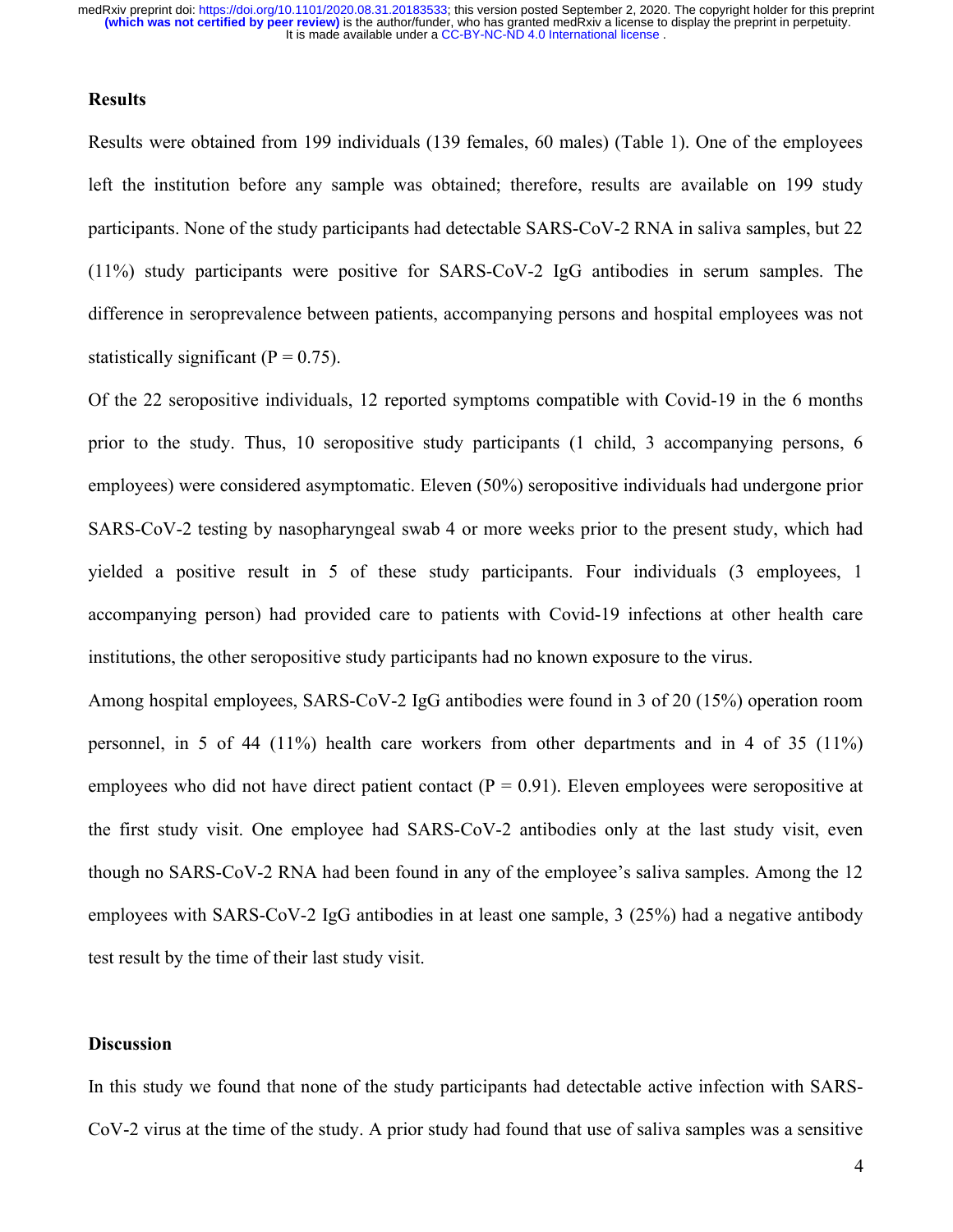## **Results**

Results were obtained from 199 individuals (139 females, 60 males) (Table 1). One of the employees left the institution before any sample was obtained; therefore, results are available on 199 study participants. None of the study participants had detectable SARS-CoV-2 RNA in saliva samples, but 22 (11%) study participants were positive for SARS-CoV-2 IgG antibodies in serum samples. The difference in seroprevalence between patients, accompanying persons and hospital employees was not statistically significant ( $P = 0.75$ ).

Of the 22 seropositive individuals, 12 reported symptoms compatible with Covid-19 in the 6 months prior to the study. Thus, 10 seropositive study participants (1 child, 3 accompanying persons, 6 employees) were considered asymptomatic. Eleven (50%) seropositive individuals had undergone prior SARS-CoV-2 testing by nasopharyngeal swab 4 or more weeks prior to the present study, which had yielded a positive result in 5 of these study participants. Four individuals (3 employees, 1 accompanying person) had provided care to patients with Covid-19 infections at other health care institutions, the other seropositive study participants had no known exposure to the virus.

Among hospital employees, SARS-CoV-2 IgG antibodies were found in 3 of 20 (15%) operation room personnel, in 5 of 44 (11%) health care workers from other departments and in 4 of 35 (11%) employees who did not have direct patient contact ( $P = 0.91$ ). Eleven employees were seropositive at the first study visit. One employee had SARS-CoV-2 antibodies only at the last study visit, even though no SARS-CoV-2 RNA had been found in any of the employee's saliva samples. Among the 12 employees with SARS-CoV-2 IgG antibodies in at least one sample, 3 (25%) had a negative antibody test result by the time of their last study visit.

## **Discussion**

In this study we found that none of the study participants had detectable active infection with SARS-CoV-2 virus at the time of the study. A prior study had found that use of saliva samples was a sensitive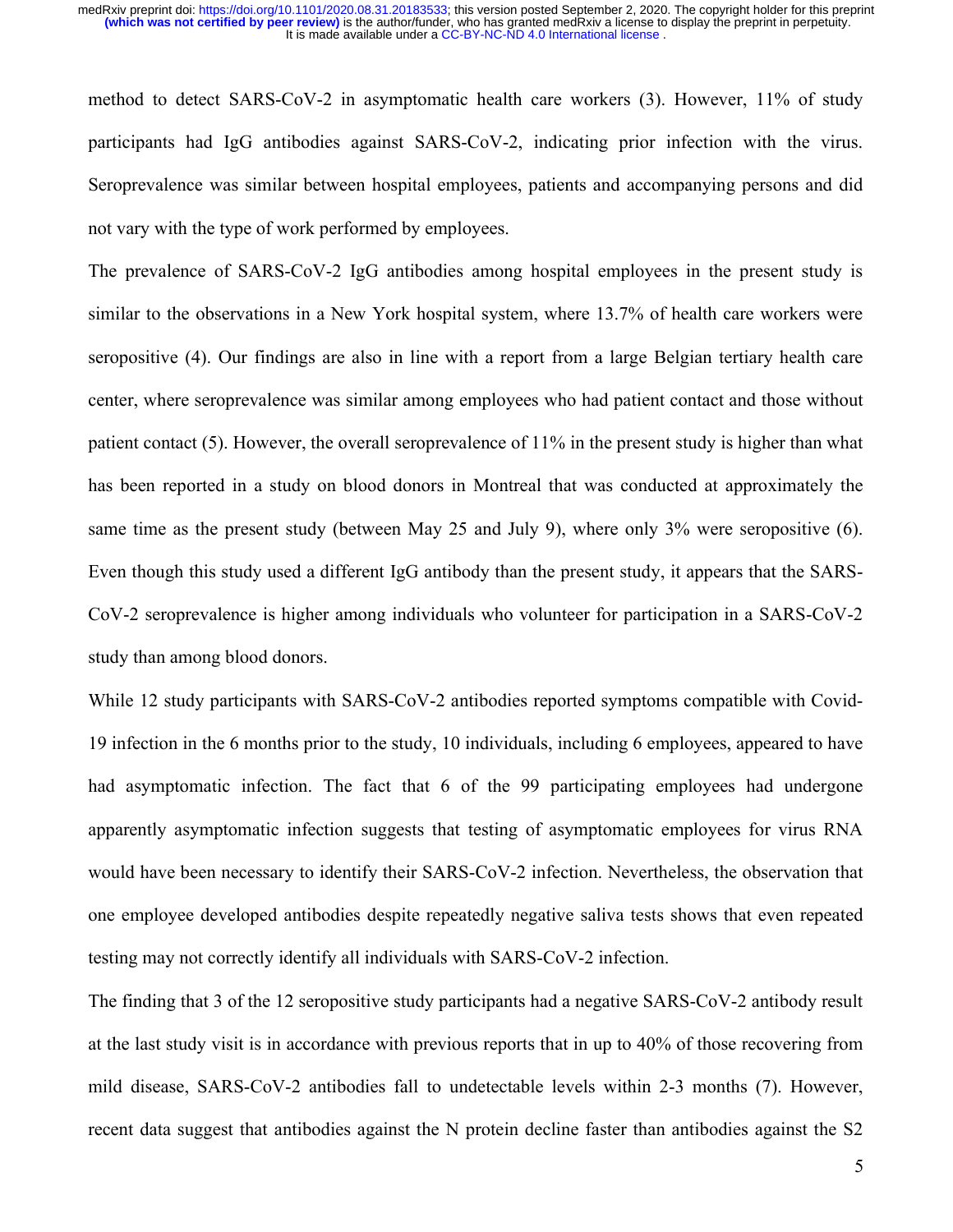method to detect SARS-CoV-2 in asymptomatic health care workers (3). However, 11% of study participants had IgG antibodies against SARS-CoV-2, indicating prior infection with the virus. Seroprevalence was similar between hospital employees, patients and accompanying persons and did not vary with the type of work performed by employees.

The prevalence of SARS-CoV-2 IgG antibodies among hospital employees in the present study is similar to the observations in a New York hospital system, where 13.7% of health care workers were seropositive (4). Our findings are also in line with a report from a large Belgian tertiary health care center, where seroprevalence was similar among employees who had patient contact and those without patient contact (5). However, the overall seroprevalence of 11% in the present study is higher than what has been reported in a study on blood donors in Montreal that was conducted at approximately the same time as the present study (between May 25 and July 9), where only 3% were seropositive (6). Even though this study used a different IgG antibody than the present study, it appears that the SARS-CoV-2 seroprevalence is higher among individuals who volunteer for participation in a SARS-CoV-2 study than among blood donors.

While 12 study participants with SARS-CoV-2 antibodies reported symptoms compatible with Covid-19 infection in the 6 months prior to the study, 10 individuals, including 6 employees, appeared to have had asymptomatic infection. The fact that 6 of the 99 participating employees had undergone apparently asymptomatic infection suggests that testing of asymptomatic employees for virus RNA would have been necessary to identify their SARS-CoV-2 infection. Nevertheless, the observation that one employee developed antibodies despite repeatedly negative saliva tests shows that even repeated testing may not correctly identify all individuals with SARS-CoV-2 infection.

The finding that 3 of the 12 seropositive study participants had a negative SARS-CoV-2 antibody result at the last study visit is in accordance with previous reports that in up to 40% of those recovering from mild disease, SARS-CoV-2 antibodies fall to undetectable levels within 2-3 months (7). However, recent data suggest that antibodies against the N protein decline faster than antibodies against the S2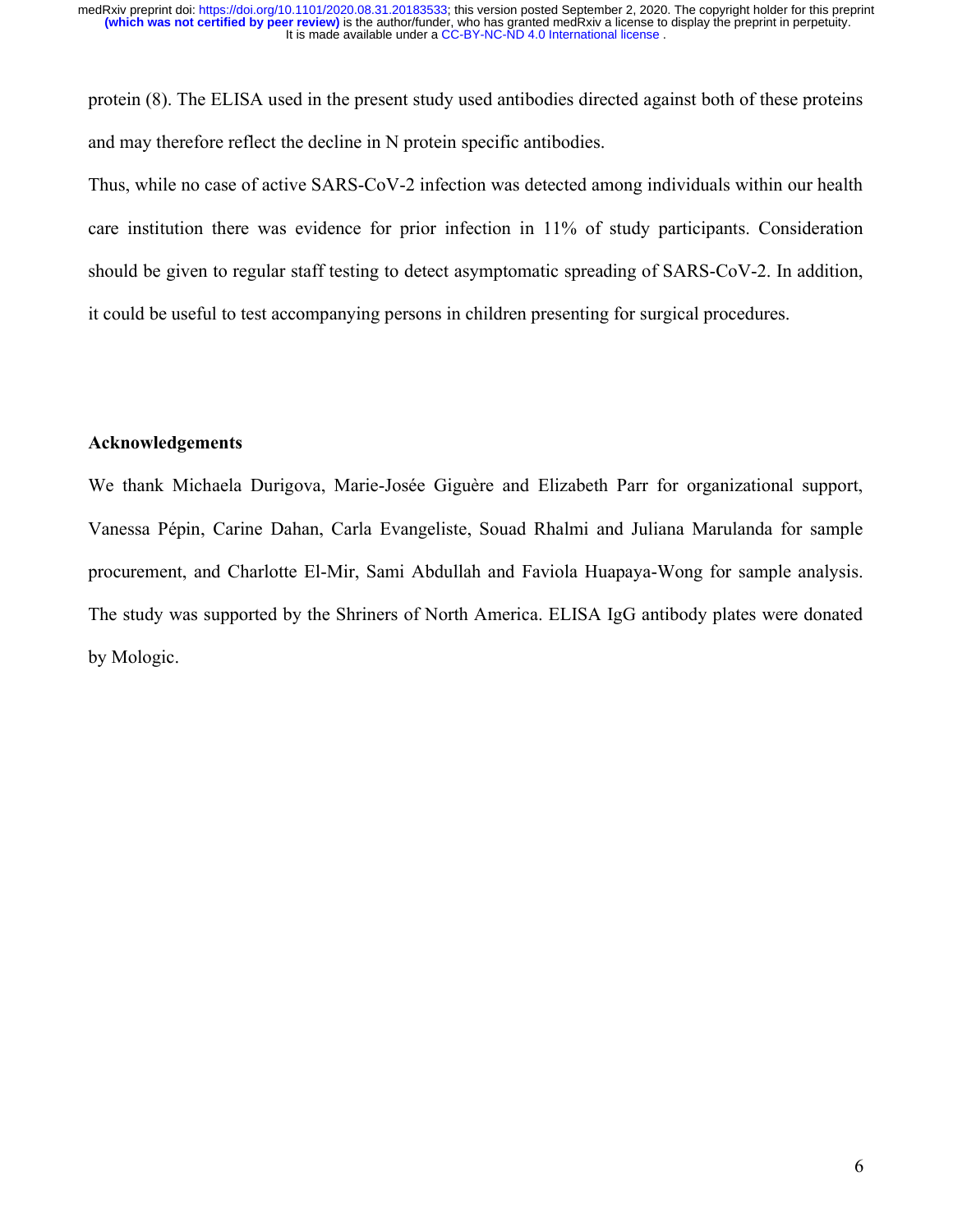protein (8). The ELISA used in the present study used antibodies directed against both of these proteins and may therefore reflect the decline in N protein specific antibodies.

Thus, while no case of active SARS-CoV-2 infection was detected among individuals within our health care institution there was evidence for prior infection in 11% of study participants. Consideration should be given to regular staff testing to detect asymptomatic spreading of SARS-CoV-2. In addition, it could be useful to test accompanying persons in children presenting for surgical procedures.

## Acknowledgements

We thank Michaela Durigova, Marie-Josée Giguère and Elizabeth Parr for organizational support, Vanessa Pépin, Carine Dahan, Carla Evangeliste, Souad Rhalmi and Juliana Marulanda for sample procurement, and Charlotte El-Mir, Sami Abdullah and Faviola Huapaya-Wong for sample analysis. The study was supported by the Shriners of North America. ELISA IgG antibody plates were donated by Mologic.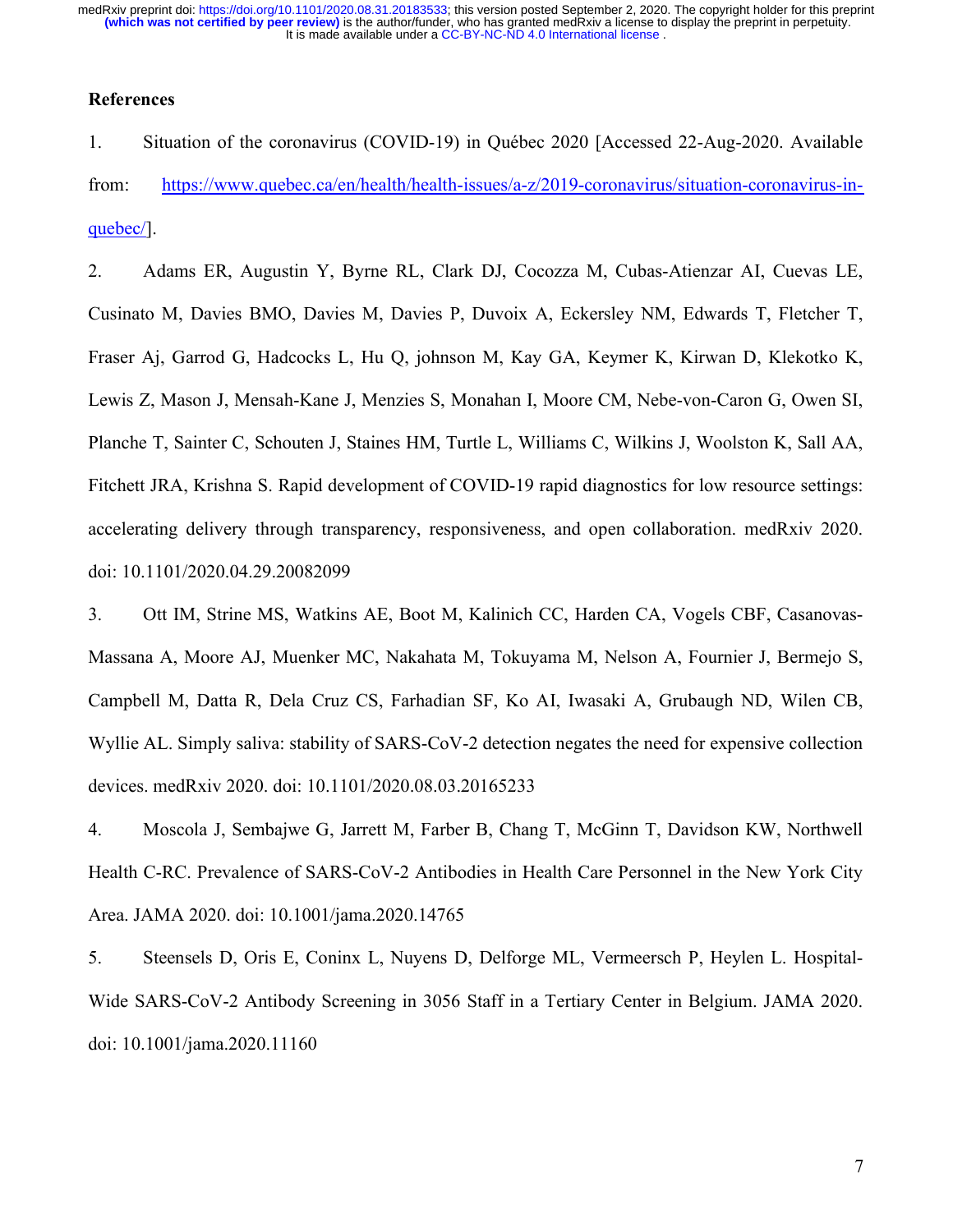# **References**

1. Situation of the coronavirus (COVID-19) in Québec 2020 [Accessed 22-Aug-2020. Available from: https://www.quebec.ca/en/health/health-issues/a-z/2019-coronavirus/situation-coronavirus-inquebec/].

2. Adams ER, Augustin Y, Byrne RL, Clark DJ, Cocozza M, Cubas-Atienzar AI, Cuevas LE, Cusinato M, Davies BMO, Davies M, Davies P, Duvoix A, Eckersley NM, Edwards T, Fletcher T, Fraser Aj, Garrod G, Hadcocks L, Hu Q, johnson M, Kay GA, Keymer K, Kirwan D, Klekotko K, Lewis Z, Mason J, Mensah-Kane J, Menzies S, Monahan I, Moore CM, Nebe-von-Caron G, Owen SI, Planche T, Sainter C, Schouten J, Staines HM, Turtle L, Williams C, Wilkins J, Woolston K, Sall AA, Fitchett JRA, Krishna S. Rapid development of COVID-19 rapid diagnostics for low resource settings: accelerating delivery through transparency, responsiveness, and open collaboration. medRxiv 2020. doi: 10.1101/2020.04.29.20082099

3. Ott IM, Strine MS, Watkins AE, Boot M, Kalinich CC, Harden CA, Vogels CBF, Casanovas-Massana A, Moore AJ, Muenker MC, Nakahata M, Tokuyama M, Nelson A, Fournier J, Bermejo S, Campbell M, Datta R, Dela Cruz CS, Farhadian SF, Ko AI, Iwasaki A, Grubaugh ND, Wilen CB, Wyllie AL. Simply saliva: stability of SARS-CoV-2 detection negates the need for expensive collection devices. medRxiv 2020. doi: 10.1101/2020.08.03.20165233

4. Moscola J, Sembajwe G, Jarrett M, Farber B, Chang T, McGinn T, Davidson KW, Northwell Health C-RC. Prevalence of SARS-CoV-2 Antibodies in Health Care Personnel in the New York City Area. JAMA 2020. doi: 10.1001/jama.2020.14765

5. Steensels D, Oris E, Coninx L, Nuyens D, Delforge ML, Vermeersch P, Heylen L. Hospital-Wide SARS-CoV-2 Antibody Screening in 3056 Staff in a Tertiary Center in Belgium. JAMA 2020. doi: 10.1001/jama.2020.11160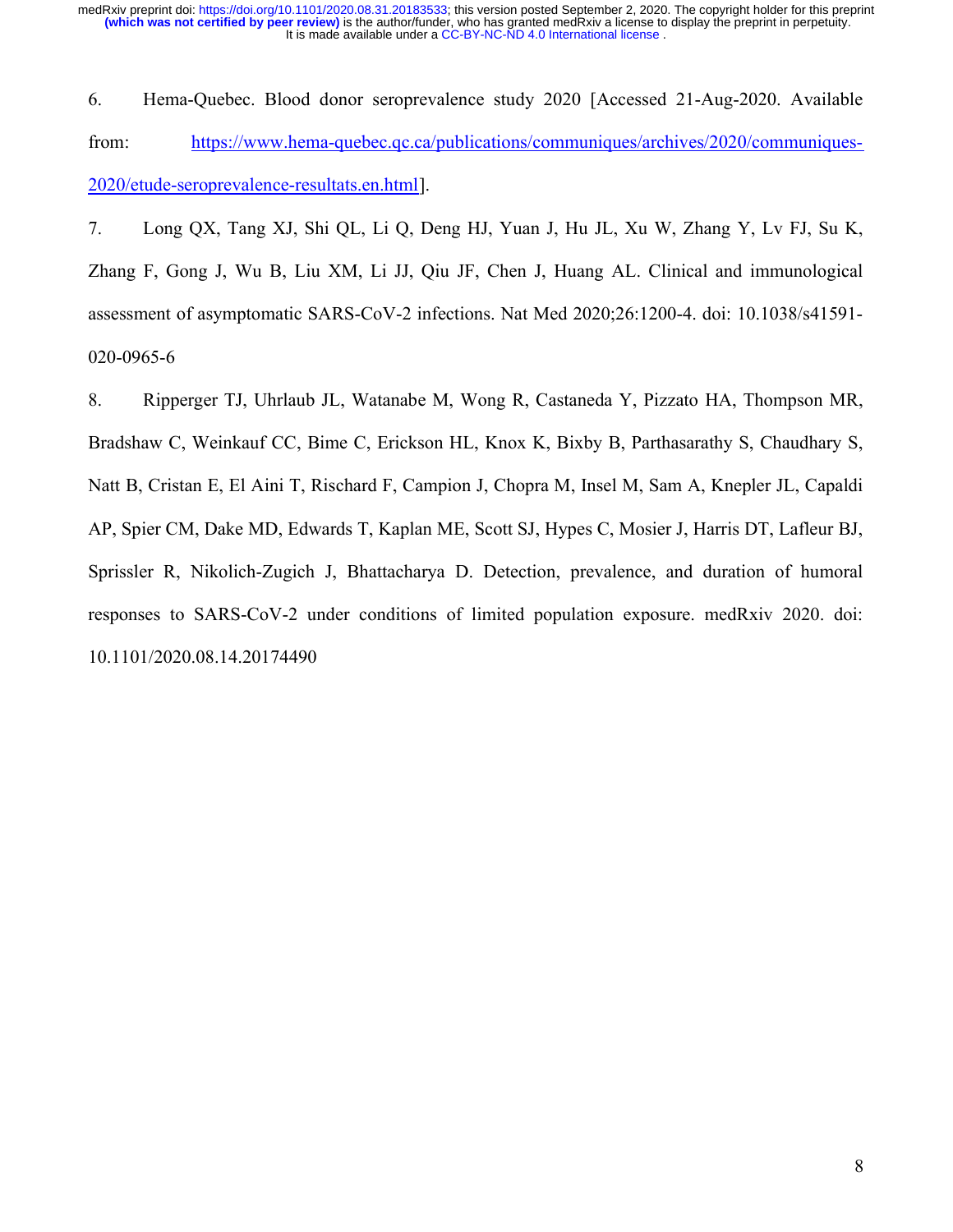6. Hema-Quebec. Blood donor seroprevalence study 2020 [Accessed 21-Aug-2020. Available from: https://www.hema-quebec.qc.ca/publications/communiques/archives/2020/communiques-2020/etude-seroprevalence-resultats.en.html].

7. Long QX, Tang XJ, Shi QL, Li Q, Deng HJ, Yuan J, Hu JL, Xu W, Zhang Y, Lv FJ, Su K, Zhang F, Gong J, Wu B, Liu XM, Li JJ, Qiu JF, Chen J, Huang AL. Clinical and immunological assessment of asymptomatic SARS-CoV-2 infections. Nat Med 2020;26:1200-4. doi: 10.1038/s41591- 020-0965-6

8. Ripperger TJ, Uhrlaub JL, Watanabe M, Wong R, Castaneda Y, Pizzato HA, Thompson MR, Bradshaw C, Weinkauf CC, Bime C, Erickson HL, Knox K, Bixby B, Parthasarathy S, Chaudhary S, Natt B, Cristan E, El Aini T, Rischard F, Campion J, Chopra M, Insel M, Sam A, Knepler JL, Capaldi AP, Spier CM, Dake MD, Edwards T, Kaplan ME, Scott SJ, Hypes C, Mosier J, Harris DT, Lafleur BJ, Sprissler R, Nikolich-Zugich J, Bhattacharya D. Detection, prevalence, and duration of humoral responses to SARS-CoV-2 under conditions of limited population exposure. medRxiv 2020. doi: 10.1101/2020.08.14.20174490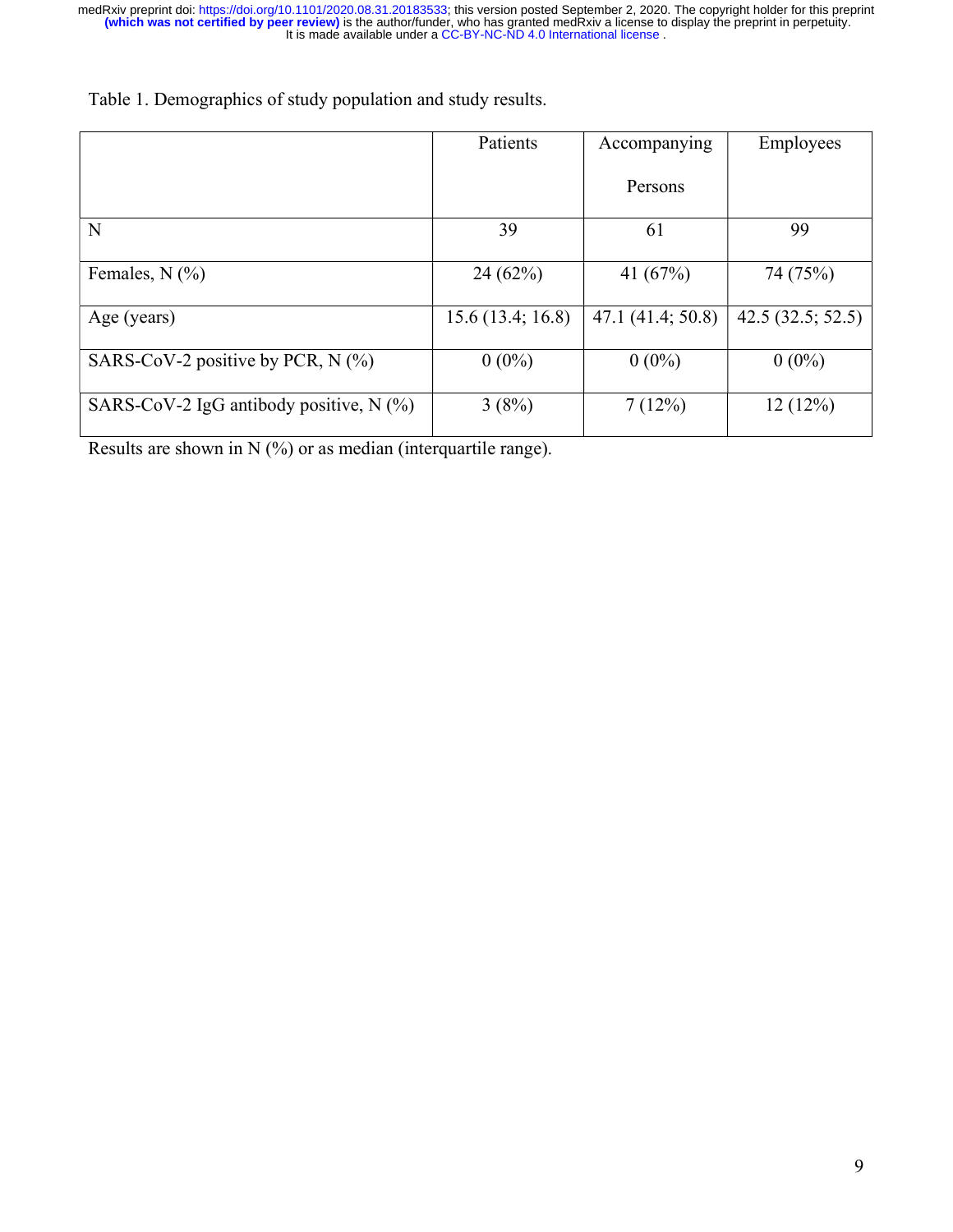|                                           | Patients         | Accompanying     | Employees        |
|-------------------------------------------|------------------|------------------|------------------|
|                                           |                  | Persons          |                  |
| N                                         | 39               | 61               | 99               |
| Females, $N$ (%)                          | 24(62%)          | 41 $(67%)$       | 74 (75%)         |
| Age (years)                               | 15.6(13.4; 16.8) | 47.1(41.4; 50.8) | 42.5(32.5; 52.5) |
| SARS-CoV-2 positive by PCR, $N$ (%)       | $0(0\%)$         | $0(0\%)$         | $0(0\%)$         |
| SARS-CoV-2 IgG antibody positive, $N$ (%) | 3(8%)            | 7(12%)           | 12(12%)          |

Table 1. Demographics of study population and study results.

Results are shown in N (%) or as median (interquartile range).